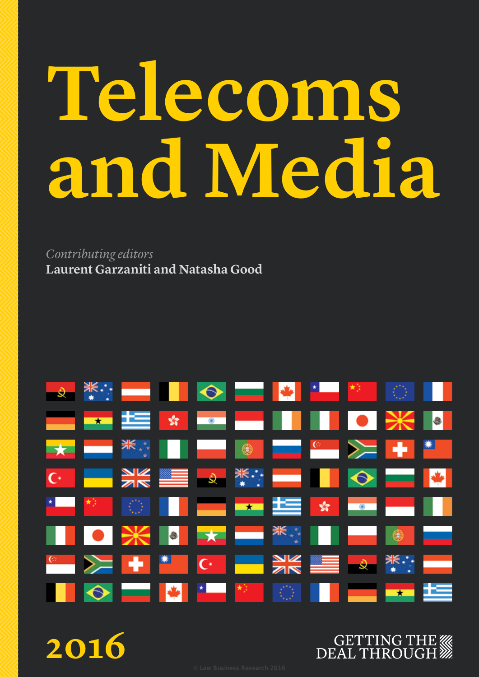# **Telecoms and Media**

*Contributing editors* **Laurent Garzaniti and Natasha Good**



**2016**

# **GETTING THE WAR DEAL THROUGH**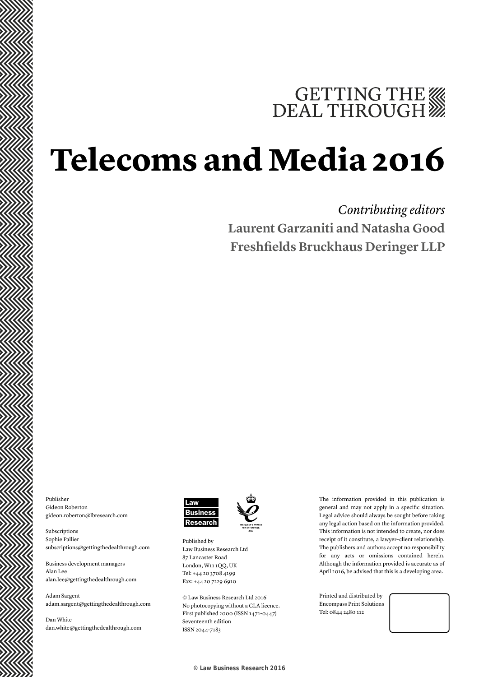# GETTING THE WE DEAL THROUGH

# **Telecoms and Media 2016**

# *Contributing editors* **Laurent Garzaniti and Natasha Good Freshfields Bruckhaus Deringer LLP**

Publisher Gideon Roberton gideon.roberton@lbresearch.com

Subscriptions Sophie Pallier subscriptions@gettingthedealthrough.com

Business development managers Alan Lee alan.lee@gettingthedealthrough.com

Adam Sargent adam.sargent@gettingthedealthrough.com

Dan White dan.white@gettingthedealthrough.com



Published by Law Business Research Ltd 87 Lancaster Road London, W11 1QQ, UK Tel: +44 20 3708 4199 Fax: +44 20 7229 6910

© Law Business Research Ltd 2016 No photocopying without a CLA licence. First published 2000 (ISSN 1471-0447) Seventeenth edition ISSN 2044-7183

The information provided in this publication is general and may not apply in a specific situation. Legal advice should always be sought before taking any legal action based on the information provided. This information is not intended to create, nor does receipt of it constitute, a lawyer–client relationship. The publishers and authors accept no responsibility for any acts or omissions contained herein. Although the information provided is accurate as of April 2016, be advised that this is a developing area.

Printed and distributed by Encompass Print Solutions Tel: 0844 2480 112

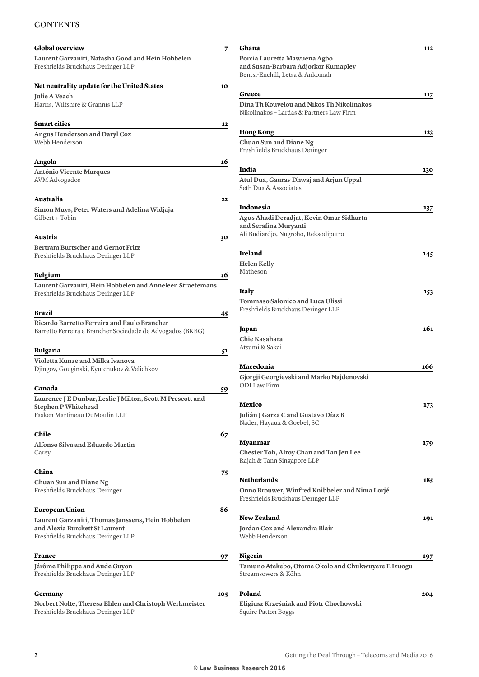### **CONTENTS**

| <b>Global overview</b>                                                                                                    | 7   |
|---------------------------------------------------------------------------------------------------------------------------|-----|
| Laurent Garzaniti, Natasha Good and Hein Hobbelen<br>Freshfields Bruckhaus Deringer LLP                                   |     |
| Net neutrality update for the United States                                                                               | 10  |
| <b>Julie A Veach</b><br>Harris, Wiltshire & Grannis LLP                                                                   |     |
| <b>Smart cities</b>                                                                                                       | 12  |
| Angus Henderson and Daryl Cox<br>Webb Henderson                                                                           |     |
| Angola                                                                                                                    | 16  |
| António Vicente Marques<br>AVM Advogados                                                                                  |     |
| Australia                                                                                                                 | 22  |
| Simon Muys, Peter Waters and Adelina Widjaja<br>Gilbert + Tobin                                                           |     |
| Austria                                                                                                                   | 30  |
| <b>Bertram Burtscher and Gernot Fritz</b><br>Freshfields Bruckhaus Deringer LLP                                           |     |
| <b>Belgium</b>                                                                                                            | 36  |
| Laurent Garzaniti, Hein Hobbelen and Anneleen Straetemans<br>Freshfields Bruckhaus Deringer LLP                           |     |
| <b>Brazil</b>                                                                                                             | 45  |
| Ricardo Barretto Ferreira and Paulo Brancher<br>Barretto Ferreira e Brancher Sociedade de Advogados (BKBG)                |     |
| <b>Bulgaria</b>                                                                                                           | 51  |
| Violetta Kunze and Milka Ivanova<br>Djingov, Gouginski, Kyutchukov & Velichkov                                            |     |
| Canada                                                                                                                    | 59  |
| Laurence J E Dunbar, Leslie J Milton, Scott M Prescott and<br><b>Stephen P Whitehead</b><br>Fasken Martineau DuMoulin LLP |     |
| Chile                                                                                                                     | 67  |
| Alfonso Silva and Eduardo Martin<br>Carey                                                                                 |     |
| China                                                                                                                     | 75  |
| Chuan Sun and Diane Ng<br>Freshfields Bruckhaus Deringer                                                                  |     |
| <b>European Union</b>                                                                                                     | 86  |
| Laurent Garzaniti, Thomas Janssens, Hein Hobbelen<br>and Alexia Burckett St Laurent<br>Freshfields Bruckhaus Deringer LLP |     |
| France                                                                                                                    | 97  |
| Jérôme Philippe and Aude Guyon<br>Freshfields Bruckhaus Deringer LLP                                                      |     |
| Germany                                                                                                                   | 105 |
| Norbert Nolte, Theresa Ehlen and Christoph Werkmeister<br>Freshfields Bruckhaus Deringer LLP                              |     |

| Greece                                                                               | 117 |
|--------------------------------------------------------------------------------------|-----|
| Dina Th Kouvelou and Nikos Th Nikolinakos                                            |     |
| Nikolinakos - Lardas & Partners Law Firm                                             |     |
| <b>Hong Kong</b>                                                                     | 123 |
| Chuan Sun and Diane Ng<br>Freshfields Bruckhaus Deringer                             |     |
| India                                                                                | 130 |
| Atul Dua, Gaurav Dhwaj and Arjun Uppal<br>Seth Dua & Associates                      |     |
| Indonesia                                                                            | 137 |
| Agus Ahadi Deradjat, Kevin Omar Sidharta<br>and Serafina Muryanti                    |     |
| Ali Budiardjo, Nugroho, Reksodiputro                                                 |     |
| <b>Ireland</b>                                                                       | 145 |
| <b>Helen Kelly</b><br>Matheson                                                       |     |
| Italy                                                                                | 153 |
| Tommaso Salonico and Luca Ulissi<br>Freshfields Bruckhaus Deringer LLP               |     |
| Japan                                                                                | 161 |
| Chie Kasahara<br>Atsumi & Sakai                                                      |     |
| Macedonia                                                                            | 166 |
| Gjorgji Georgievski and Marko Najdenovski<br><b>ODI</b> Law Firm                     |     |
| Mexico                                                                               | 173 |
| Julián J Garza C and Gustavo Díaz B<br>Nader, Hayaux & Goebel, SC                    |     |
| Myanmar                                                                              | 179 |
| Chester Toh, Alroy Chan and Tan Jen Lee<br>Rajah & Tann Singapore LLP                |     |
| <b>Netherlands</b>                                                                   | 185 |
| Onno Brouwer, Winfred Knibbeler and Nima Lorjé<br>Freshfields Bruckhaus Deringer LLP |     |
| <b>New Zealand</b>                                                                   | 191 |
| Jordan Cox and Alexandra Blair<br>Webb Henderson                                     |     |
| Nigeria                                                                              | 197 |
| Tamuno Atekebo, Otome Okolo and Chukwuyere E Izuogu<br>Streamsowers & Köhn           |     |
|                                                                                      |     |

**Ghana 112**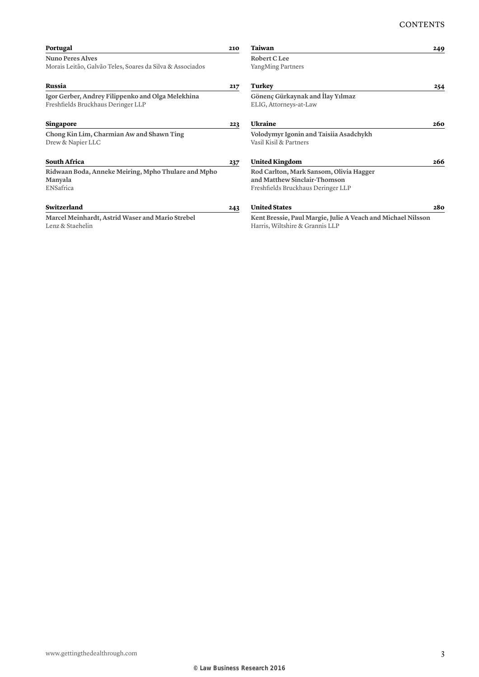| Portugal                                                       | 210 | Taiwan                                                           | 249 |
|----------------------------------------------------------------|-----|------------------------------------------------------------------|-----|
| <b>Nuno Peres Alves</b>                                        |     | Robert C Lee                                                     |     |
| Morais Leitão, Galvão Teles, Soares da Silva & Associados      |     | YangMing Partners                                                |     |
| Russia                                                         | 217 | Turkey                                                           | 254 |
| Igor Gerber, Andrey Filippenko and Olga Melekhina              |     | Gönenç Gürkaynak and İlay Yılmaz                                 |     |
| Freshfields Bruckhaus Deringer LLP                             |     | ELIG, Attorneys-at-Law                                           |     |
| Singapore                                                      | 223 | Ukraine                                                          | 260 |
| Chong Kin Lim, Charmian Aw and Shawn Ting<br>Drew & Napier LLC |     | Volodymyr Igonin and Taisiia Asadchykh<br>Vasil Kisil & Partners |     |
| <b>South Africa</b>                                            | 237 | <b>United Kingdom</b>                                            | 266 |
| Ridwaan Boda, Anneke Meiring, Mpho Thulare and Mpho            |     | Rod Carlton, Mark Sansom, Olivia Hagger                          |     |
| Manyala                                                        |     | and Matthew Sinclair-Thomson                                     |     |
| ENSafrica                                                      |     | Freshfields Bruckhaus Deringer LLP                               |     |
| Switzerland                                                    | 243 | <b>United States</b>                                             | 280 |
| Marcel Meinhardt, Astrid Waser and Mario Strebel               |     | Kent Bressie, Paul Margie, Julie A Veach and Michael Nilsson     |     |
| Lenz & Staehelin                                               |     | Harris, Wiltshire & Grannis LLP                                  |     |
|                                                                |     |                                                                  |     |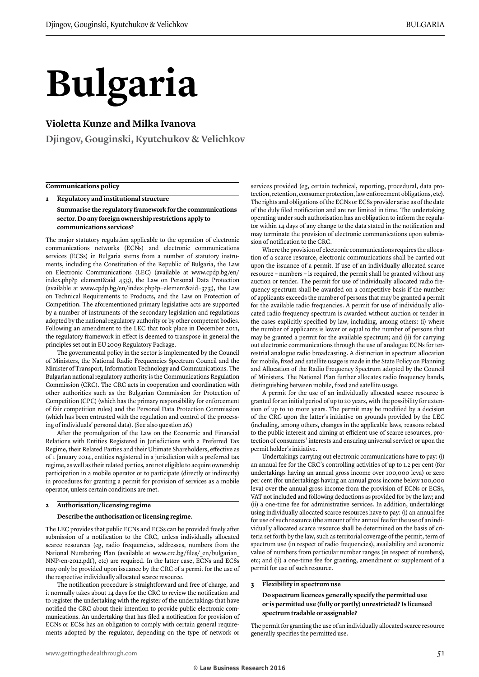# **Bulgaria**

#### **Violetta Kunze and Milka Ivanova**

**Djingov, Gouginski, Kyutchukov & Velichkov**

#### **Communications policy**

**1 Regulatory and institutional structure**

**Summarise the regulatory framework for the communications sector. Do any foreign ownership restrictions apply to communications services?**

The major statutory regulation applicable to the operation of electronic communications networks (ECNs) and electronic communications services (ECSs) in Bulgaria stems from a number of statutory instruments, including the Constitution of the Republic of Bulgaria, the Law on Electronic Communications (LEC) (available at www.cpdp.bg/en/ index.php?p=element&aid=433;), the Law on Personal Data Protection (available at www.cpdp.bg/en/index.php?p=element&aid=373;), the Law on Technical Requirements to Products, and the Law on Protection of Competition. The aforementioned primary legislative acts are supported by a number of instruments of the secondary legislation and regulations adopted by the national regulatory authority or by other competent bodies. Following an amendment to the LEC that took place in December 2011, the regulatory framework in effect is deemed to transpose in general the principles set out in EU 2009 Regulatory Package.

The governmental policy in the sector is implemented by the Council of Ministers, the National Radio Frequencies Spectrum Council and the Minister of Transport, Information Technology and Communications. The Bulgarian national regulatory authority is the Communications Regulation Commission (CRC). The CRC acts in cooperation and coordination with other authorities such as the Bulgarian Commission for Protection of Competition (CPC) (which has the primary responsibility for enforcement of fair competition rules) and the Personal Data Protection Commission (which has been entrusted with the regulation and control of the processing of individuals' personal data). (See also question 26.)

After the promulgation of the Law on the Economic and Financial Relations with Entities Registered in Jurisdictions with a Preferred Tax Regime, their Related Parties and their Ultimate Shareholders, effective as of 1 January 2014, entities registered in a jurisdiction with a preferred tax regime, as well as their related parties, are not eligible to acquire ownership participation in a mobile operator or to participate (directly or indirectly) in procedures for granting a permit for provision of services as a mobile operator, unless certain conditions are met.

#### **2 Authorisation/licensing regime**

#### **Describe the authorisation or licensing regime.**

The LEC provides that public ECNs and ECSs can be provided freely after submission of a notification to the CRC, unless individually allocated scarce resources (eg, radio frequencies, addresses, numbers from the National Numbering Plan (available at www.crc.bg/files/\_en/bulgarian\_ NNP-en-2012.pdf), etc) are required. In the latter case, ECNs and ECSs may only be provided upon issuance by the CRC of a permit for the use of the respective individually allocated scarce resource.

The notification procedure is straightforward and free of charge, and it normally takes about 14 days for the CRC to review the notification and to register the undertaking with the register of the undertakings that have notified the CRC about their intention to provide public electronic communications. An undertaking that has filed a notification for provision of ECNs or ECSs has an obligation to comply with certain general requirements adopted by the regulator, depending on the type of network or

services provided (eg, certain technical, reporting, procedural, data protection, retention, consumer protection, law enforcement obligations, etc). The rights and obligations of the ECNs or ECSs provider arise as of the date of the duly filed notification and are not limited in time. The undertaking operating under such authorisation has an obligation to inform the regulator within 14 days of any change to the data stated in the notification and may terminate the provision of electronic communications upon submission of notification to the CRC.

Where the provision of electronic communications requires the allocation of a scarce resource, electronic communications shall be carried out upon the issuance of a permit. If use of an individually allocated scarce resource – numbers – is required, the permit shall be granted without any auction or tender. The permit for use of individually allocated radio frequency spectrum shall be awarded on a competitive basis if the number of applicants exceeds the number of persons that may be granted a permit for the available radio frequencies. A permit for use of individually allocated radio frequency spectrum is awarded without auction or tender in the cases explicitly specified by law, including, among others: (i) where the number of applicants is lower or equal to the number of persons that may be granted a permit for the available spectrum; and (ii) for carrying out electronic communications through the use of analogue ECNs for terrestrial analogue radio broadcasting. A distinction in spectrum allocation for mobile, fixed and satellite usage is made in the State Policy on Planning and Allocation of the Radio Frequency Spectrum adopted by the Council of Ministers. The National Plan further allocates radio frequency bands, distinguishing between mobile, fixed and satellite usage.

A permit for the use of an individually allocated scarce resource is granted for an initial period of up to 20 years, with the possibility for extension of up to 10 more years. The permit may be modified by a decision of the CRC upon the latter's initiative on grounds provided by the LEC (including, among others, changes in the applicable laws, reasons related to the public interest and aiming at efficient use of scarce resources, protection of consumers' interests and ensuring universal service) or upon the permit holder's initiative.

Undertakings carrying out electronic communications have to pay: (i) an annual fee for the CRC's controlling activities of up to 1.2 per cent (for undertakings having an annual gross income over 100,000 leva) or zero per cent (for undertakings having an annual gross income below 100,000 leva) over the annual gross income from the provision of ECNs or ECSs, VAT not included and following deductions as provided for by the law; and (ii) a one-time fee for administrative services. In addition, undertakings using individually allocated scarce resources have to pay: (i) an annual fee for use of such resource (the amount of the annual fee for the use of an individually allocated scarce resource shall be determined on the basis of criteria set forth by the law, such as territorial coverage of the permit, term of spectrum use (in respect of radio frequencies), availability and economic value of numbers from particular number ranges (in respect of numbers), etc; and (ii) a one-time fee for granting, amendment or supplement of a permit for use of such resource.

#### **3 Flexibility in spectrum use**

**Do spectrum licences generally specify the permitted use or is permitted use (fully or partly) unrestricted? Is licensed spectrum tradable or assignable?**

The permit for granting the use of an individually allocated scarce resource generally specifies the permitted use.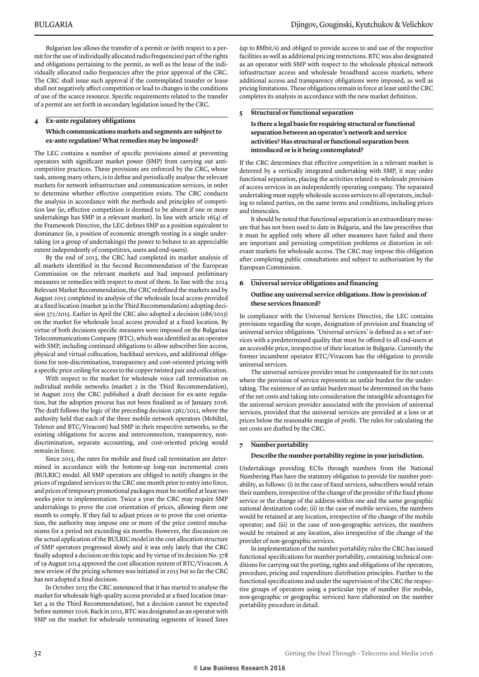Bulgarian law allows the transfer of a permit or (with respect to a permit for the use of individually allocated radio frequencies) part of the rights and obligations pertaining to the permit, as well as the lease of the individually allocated radio frequencies after the prior approval of the CRC. The CRC shall issue such approval if the contemplated transfer or lease shall not negatively affect competition or lead to changes in the conditions of use of the scarce resource. Specific requirements related to the transfer of a permit are set forth in secondary legislation issued by the CRC.

#### **4 Ex-ante regulatory obligations**

#### **Which communications markets and segments are subject to ex-ante regulation? What remedies may be imposed?**

The LEC contains a number of specific provisions aimed at preventing operators with significant market power (SMP) from carrying out anticompetitive practices. These provisions are enforced by the CRC, whose task, among many others, is to define and periodically analyse the relevant markets for network infrastructure and communication services, in order to determine whether effective competition exists. The CRC conducts the analysis in accordance with the methods and principles of competition law (ie, effective competition is deemed to be absent if one or more undertakings has SMP in a relevant market). In line with article 16(4) of the Framework Directive, the LEC defines SMP as a position equivalent to dominance (ie, a position of economic strength vesting in a single undertaking (or a group of undertakings) the power to behave to an appreciable extent independently of competitors, users and end-users).

By the end of 2013, the CRC had completed its market analysis of all markets identified in the Second Recommendation of the European Commission on the relevant markets and had imposed preliminary measures or remedies with respect to most of them. In line with the 2014 Relevant Market Recommendation, the CRC redefined the markets and by August 2015 completed its analysis of the wholesale local access provided at a fixed location (market 3a in the Third Recommendation) adopting decision 372/2015. Earlier in April the CRC also adopted a decision (186/2015) on the market for wholesale local access provided at a fixed location. By virtue of both decisions specific measures were imposed on the Bulgarian Telecommunications Company (BTC), which was identified as an operator with SMP, including continued obligations to allow subscriber line access, physical and virtual collocation, backhaul services, and additional obligations for non-discrimination, transparency and cost-oriented pricing with a specific price ceiling for access to the copper twisted pair and collocation.

With respect to the market for wholesale voice call termination on individual mobile networks (market 2 in the Third Recommendation), in August 2015 the CRC published a draft decision for ex-ante regulation, but the adoption process has not been finalised as of January 2016. The draft follows the logic of the preceding decision 1362/2012, where the authority held that each of the three mobile network operators (Mobiltel, Telenor and BTC/Vivacom) had SMP in their respective networks, so the existing obligations for access and interconnection, transparency, nondiscrimination, separate accounting, and cost-oriented pricing would remain in force.

Since 2013, the rates for mobile and fixed call termination are determined in accordance with the bottom-up long-run incremental costs (BULRIC) model. All SMP operators are obliged to notify changes in the prices of regulated services to the CRC one month prior to entry into force, and prices of temporary promotional packages must be notified at least two weeks prior to implementation. Twice a year the CRC may require SMP undertakings to prove the cost orientation of prices, allowing them one month to comply. If they fail to adjust prices or to prove the cost orientation, the authority may impose one or more of the price control mechanisms for a period not exceeding six months. However, the discussion on the actual application of the BULRIC model in the cost allocation structure of SMP operators progressed slowly and it was only lately that the CRC finally adopted a decision on this topic and by virtue of its decision No. 578 of 19 August 2014 approved the cost allocation system of BTC/Vivacom. A new review of the pricing schemes was initiated in 2015 but so far the CRC has not adopted a final decision.

In October 2015 the CRC announced that it has started to analyse the market for wholesale high-quality access provided at a fixed location (market 4 in the Third Recommendation), but a decision cannot be expected before summer 2016. Back in 2012, BTC was designated as an operator with SMP on the market for wholesale terminating segments of leased lines

(up to 8Mbit/s) and obliged to provide access to and use of the respective facilities as well as additional pricing restrictions. BTC was also designated as an operator with SMP with respect to the wholesale physical network infrastructure access and wholesale broadband access markets, where additional access and transparency obligations were imposed, as well as pricing limitations. These obligations remain in force at least until the CRC completes its analysis in accordance with the new market definition.

#### **5 Structural or functional separation**

#### **Is there a legal basis for requiring structural or functional separation between an operator's network and service activities? Has structural or functional separation been introduced or is it being contemplated?**

If the CRC determines that effective competition in a relevant market is deterred by a vertically integrated undertaking with SMP, it may order functional separation, placing the activities related to wholesale provision of access services in an independently operating company. The separated undertaking must supply wholesale access services to all operators, including to related parties, on the same terms and conditions, including prices and timescales.

It should be noted that functional separation is an extraordinary measure that has not been used to date in Bulgaria, and the law prescribes that it must be applied only where all other measures have failed and there are important and persisting competition problems or distortion in relevant markets for wholesale access. The CRC may impose this obligation after completing public consultations and subject to authorisation by the European Commission.

## **6 Universal service obligations and financing**

#### **Outline any universal service obligations. How is provision of these services financed?**

In compliance with the Universal Services Directive, the LEC contains provisions regarding the scope, designation of provision and financing of universal service obligations. 'Universal services' is defined as a set of services with a predetermined quality that must be offered to all end-users at an accessible price, irrespective of their location in Bulgaria. Currently the former incumbent operator BTC/Vivacom has the obligation to provide universal services.

The universal services provider must be compensated for its net costs where the provision of service represents an unfair burden for the undertaking. The existence of an unfair burden must be determined on the basis of the net costs and taking into consideration the intangible advantages for the universal services provider associated with the provision of universal services, provided that the universal services are provided at a loss or at prices below the reasonable margin of profit. The rules for calculating the net costs are drafted by the CRC.

#### **7 Number portability**

#### **Describe the number portability regime in your jurisdiction.**

Undertakings providing ECSs through numbers from the National Numbering Plan have the statutory obligation to provide for number portability, as follows: (i) in the case of fixed services, subscribers would retain their numbers, irrespective of the change of the provider of the fixed phone service or the change of the address within one and the same geographic national destination code; (ii) in the case of mobile services, the numbers would be retained at any location, irrespective of the change of the mobile operator; and (iii) in the case of non-geographic services, the numbers would be retained at any location, also irrespective of the change of the provider of non-geographic services.

In implementation of the number portability rules the CRC has issued functional specifications for number portability, containing technical conditions for carrying out the porting, rights and obligations of the operators, procedure, pricing and expenditure distribution principles. Further to the functional specifications and under the supervision of the CRC the respective groups of operators using a particular type of number (for mobile, non-geographic or geographic services) have elaborated on the number portability procedure in detail.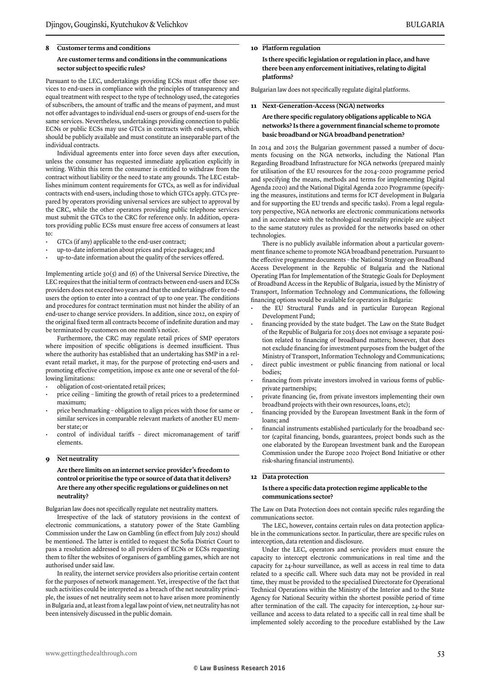#### **Are customer terms and conditions in the communications sector subject to specific rules?**

Pursuant to the LEC, undertakings providing ECSs must offer those services to end-users in compliance with the principles of transparency and equal treatment with respect to the type of technology used, the categories of subscribers, the amount of traffic and the means of payment, and must not offer advantages to individual end-users or groups of end-users for the same services. Nevertheless, undertakings providing connection to public ECNs or public ECSs may use GTCs in contracts with end-users, which should be publicly available and must constitute an inseparable part of the individual contracts.

Individual agreements enter into force seven days after execution, unless the consumer has requested immediate application explicitly in writing. Within this term the consumer is entitled to withdraw from the contract without liability or the need to state any grounds. The LEC establishes minimum content requirements for GTCs, as well as for individual contracts with end-users, including those to which GTCs apply. GTCs prepared by operators providing universal services are subject to approval by the CRC, while the other operators providing public telephone services must submit the GTCs to the CRC for reference only. In addition, operators providing public ECSs must ensure free access of consumers at least to:

- GTCs (if any) applicable to the end-user contract;
- up-to-date information about prices and price packages; and
- up-to-date information about the quality of the services offered.

Implementing article  $30(5)$  and  $(6)$  of the Universal Service Directive, the LEC requires that the initial term of contracts between end-users and ECSs providers does not exceed two years and that the undertakings offer to endusers the option to enter into a contract of up to one year. The conditions and procedures for contract termination must not hinder the ability of an end-user to change service providers. In addition, since 2012, on expiry of the original fixed term all contracts become of indefinite duration and may be terminated by customers on one month's notice.

Furthermore, the CRC may regulate retail prices of SMP operators where imposition of specific obligations is deemed insufficient. Thus where the authority has established that an undertaking has SMP in a relevant retail market, it may, for the purpose of protecting end-users and promoting effective competition, impose ex ante one or several of the following limitations:

- obligation of cost-orientated retail prices;
- price ceiling limiting the growth of retail prices to a predetermined maximum;
- price benchmarking obligation to align prices with those for same or similar services in comparable relevant markets of another EU member state; or
- control of individual tariffs direct micromanagement of tariff elements.

#### **9 Net neutrality**

#### **Are there limits on an internet service provider's freedom to control or prioritise the type or source of data that it delivers? Are there any other specific regulations or guidelines on net neutrality?**

Bulgarian law does not specifically regulate net neutrality matters.

Irrespective of the lack of statutory provisions in the context of electronic communications, a statutory power of the State Gambling Commission under the Law on Gambling (in effect from July 2012) should be mentioned. The latter is entitled to request the Sofia District Court to pass a resolution addressed to all providers of ECNs or ECSs requesting them to filter the websites of organisers of gambling games, which are not authorised under said law.

In reality, the internet service providers also prioritise certain content for the purposes of network management. Yet, irrespective of the fact that such activities could be interpreted as a breach of the net neutrality principle, the issues of net neutrality seem not to have arisen more prominently in Bulgaria and, at least from a legal law point of view, net neutrality has not been intensively discussed in the public domain.

#### **10 Platform regulation**

**Is there specific legislation or regulation in place, and have there been any enforcement initiatives, relating to digital platforms?**

Bulgarian law does not specifically regulate digital platforms.

#### **11 Next-Generation-Access (NGA) networks**

#### **Are there specific regulatory obligations applicable to NGA networks? Is there a government financial scheme to promote basic broadband or NGA broadband penetration?**

In 2014 and 2015 the Bulgarian government passed a number of documents focusing on the NGA networks, including the National Plan Regarding Broadband Infrastructure for NGA networks (prepared mainly for utilisation of the EU resources for the 2014–2020 programme period and specifying the means, methods and terms for implementing Digital Agenda 2020) and the National Digital Agenda 2020 Programme (specifying the measures, institutions and terms for ICT development in Bulgaria and for supporting the EU trends and specific tasks). From a legal regulatory perspective, NGA networks are electronic communications networks and in accordance with the technological neutrality principle are subject to the same statutory rules as provided for the networks based on other technologies.

There is no publicly available information about a particular government finance scheme to promote NGA broadband penetration. Pursuant to the effective programme documents – the National Strategy on Broadband Access Development in the Republic of Bulgaria and the National Operating Plan for Implementation of the Strategic Goals for Deployment of Broadband Access in the Republic of Bulgaria, issued by the Ministry of Transport, Information Technology and Communications, the following financing options would be available for operators in Bulgaria:

- the EU Structural Funds and in particular European Regional Development Fund;
- financing provided by the state budget. The Law on the State Budget of the Republic of Bulgaria for 2015 does not envisage a separate position related to financing of broadband matters; however, that does not exclude financing for investment purposes from the budget of the Ministry of Transport, Information Technology and Communications;
- direct public investment or public financing from national or local bodies;
- financing from private investors involved in various forms of publicprivate partnerships;
- private financing (ie, from private investors implementing their own broadband projects with their own resources, loans, etc);
- financing provided by the European Investment Bank in the form of loans; and
- financial instruments established particularly for the broadband sector (capital financing, bonds, guarantees, project bonds such as the one elaborated by the European Investment bank and the European Commission under the Europe 2020 Project Bond Initiative or other risk-sharing financial instruments).

#### **12 Data protection**

#### **Is there a specific data protection regime applicable to the communications sector?**

The Law on Data Protection does not contain specific rules regarding the communications sector.

The LEC, however, contains certain rules on data protection applicable in the communications sector. In particular, there are specific rules on interception, data retention and disclosure.

Under the LEC, operators and service providers must ensure the capacity to intercept electronic communications in real time and the capacity for 24-hour surveillance, as well as access in real time to data related to a specific call. Where such data may not be provided in real time, they must be provided to the specialised Directorate for Operational Technical Operations within the Ministry of the Interior and to the State Agency for National Security within the shortest possible period of time after termination of the call. The capacity for interception, 24-hour surveillance and access to data related to a specific call in real time shall be implemented solely according to the procedure established by the Law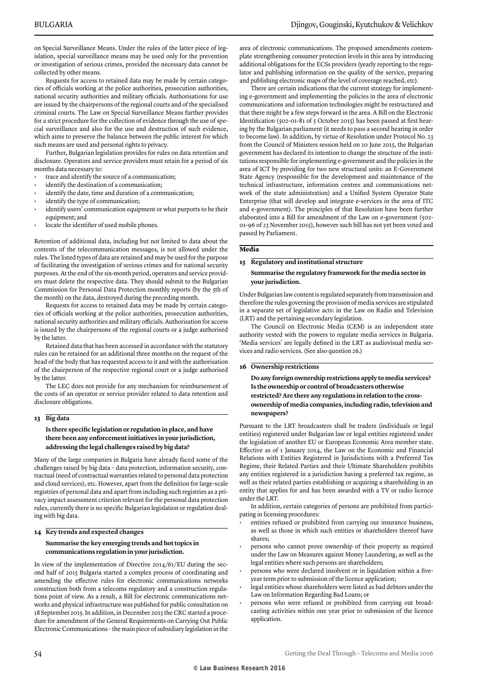on Special Surveillance Means. Under the rules of the latter piece of legislation, special surveillance means may be used only for the prevention or investigation of serious crimes, provided the necessary data cannot be collected by other means.

Requests for access to retained data may be made by certain categories of officials working at the police authorities, prosecution authorities, national security authorities and military officials. Authorisations for use are issued by the chairpersons of the regional courts and of the specialised criminal courts. The Law on Special Surveillance Means further provides for a strict procedure for the collection of evidence through the use of special surveillance and also for the use and destruction of such evidence, which aims to preserve the balance between the public interest for which such means are used and personal rights to privacy.

Further, Bulgarian legislation provides for rules on data retention and disclosure. Operators and service providers must retain for a period of six months data necessary to:

- trace and identify the source of a communication;
- identify the destination of a communication;
- identify the date, time and duration of a communication;
- identify the type of communication;
- identify users' communication equipment or what purports to be their equipment; and
- locate the identifier of used mobile phones.

Retention of additional data, including but not limited to data about the contents of the telecommunication messages, is not allowed under the rules. The listed types of data are retained and may be used for the purpose of facilitating the investigation of serious crimes and for national security purposes. At the end of the six-month period, operators and service providers must delete the respective data. They should submit to the Bulgarian Commission for Personal Data Protection monthly reports (by the 5th of the month) on the data, destroyed during the preceding month.

Requests for access to retained data may be made by certain categories of officials working at the police authorities, prosecution authorities, national security authorities and military officials. Authorisation for access is issued by the chairpersons of the regional courts or a judge authorised by the latter.

Retained data that has been accessed in accordance with the statutory rules can be retained for an additional three months on the request of the head of the body that has requested access to it and with the authorisation of the chairperson of the respective regional court or a judge authorised by the latter.

The LEC does not provide for any mechanism for reimbursement of the costs of an operator or service provider related to data retention and disclosure obligations.

#### **13 Big data**

#### **Is there specific legislation or regulation in place, and have there been any enforcement initiatives in your jurisdiction, addressing the legal challenges raised by big data?**

Many of the large companies in Bulgaria have already faced some of the challenges raised by big data – data protection, information security, contractual (need of contractual warranties related to personal data protection and cloud services), etc. However, apart from the definition for large-scale registries of personal data and apart from including such registries as a privacy impact assessment criterion relevant for the personal data protection rules, currently there is no specific Bulgarian legislation or regulation dealing with big data.

#### **14 Key trends and expected changes**

#### **Summarise the key emerging trends and hot topics in communications regulation in your jurisdiction.**

In view of the implementation of Directive 2014/61/EU during the second half of 2015 Bulgaria started a complex process of coordinating and amending the effective rules for electronic communications networks construction both from a telecoms regulatory and a construction regulations point of view. As a result, a Bill for electronic communications networks and physical infrastructure was published for public consultation on 18 September 2015. In addition, in December 2015 the CRC started a procedure for amendment of the General Requirements on Carrying Out Public Electronic Communications – the main piece of subsidiary legislation in the

area of electronic communications. The proposed amendments contemplate strengthening consumer protection levels in this area by introducing additional obligations for the ECSs providers (yearly reporting to the regulator and publishing information on the quality of the service, preparing and publishing electronic maps of the level of coverage reached, etc).

There are certain indications that the current strategy for implementing e-government and implementing the policies in the area of electronic communications and information technologies might be restructured and that there might be a few steps forward in the area. A Bill on the Electronic Identification (502-01-81 of 5 October 2015) has been passed at first hearing by the Bulgarian parliament (it needs to pass a second hearing in order to become law). In addition, by virtue of Resolution under Protocol No. 23 from the Council of Ministers session held on 10 June 2015, the Bulgarian government has declared its intention to change the structure of the institutions responsible for implementing e-government and the policies in the area of ICT by providing for two new structural units: an E-Government State Agency (responsible for the development and maintenance of the technical infrastructure, information centres and communications network of the state administration) and a Unified System Operator State Enterprise (that will develop and integrate e-services in the area of ITC and e-government). The principles of that Resolution have been further elaborated into a Bill for amendment of the Law on e-government (502- 01-96 of 23 November 2015), however such bill has not yet been voted and passed by Parliament.

#### **Media**

#### **15 Regulatory and institutional structure**

#### **Summarise the regulatory framework for the media sector in your jurisdiction.**

Under Bulgarian law content is regulated separately from transmission and therefore the rules governing the provision of media services are stipulated in a separate set of legislative acts: in the Law on Radio and Television (LRT) and the pertaining secondary legislation.

The Council on Electronic Media (CEM) is an independent state authority vested with the powers to regulate media services in Bulgaria. 'Media services' are legally defined in the LRT as audiovisual media services and radio services. (See also question 26.)

#### **16 Ownership restrictions**

**Do any foreign ownership restrictions apply to media services? Is the ownership or control of broadcasters otherwise restricted? Are there any regulations in relation to the crossownership of media companies, including radio, television and newspapers?**

Pursuant to the LRT broadcasters shall be traders (individuals or legal entities) registered under Bulgarian law or legal entities registered under the legislation of another EU or European Economic Area member state. Effective as of 1 January 2014, the Law on the Economic and Financial Relations with Entities Registered in Jurisdictions with a Preferred Tax Regime, their Related Parties and their Ultimate Shareholders prohibits any entities registered in a jurisdiction having a preferred tax regime, as well as their related parties establishing or acquiring a shareholding in an entity that applies for and has been awarded with a TV or radio licence under the LRT.

In addition, certain categories of persons are prohibited from participating in licensing procedures:

- entities refused or prohibited from carrying our insurance business, as well as those in which such entities or shareholders thereof have shares;
- persons who cannot prove ownership of their property as required under the Law on Measures against Money Laundering, as well as the legal entities where such persons are shareholders;
- persons who were declared insolvent or in liquidation within a fiveyear term prior to submission of the licence application;
- legal entities whose shareholders were listed as bad debtors under the Law on Information Regarding Bad Loans; or
- persons who were refused or prohibited from carrying out broadcasting activities within one year prior to submission of the licence application.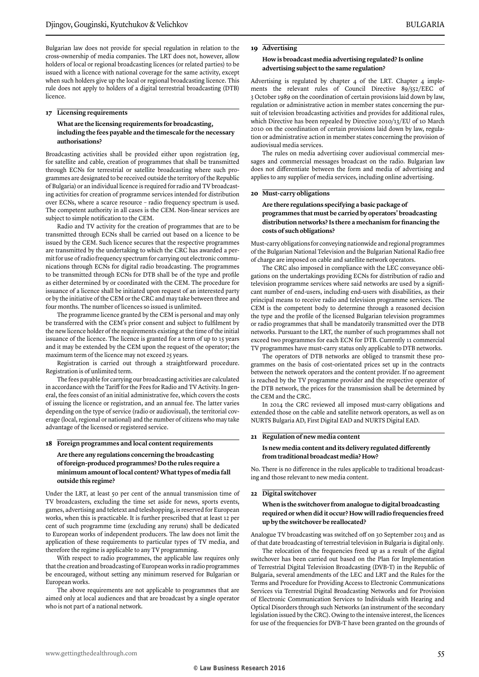Bulgarian law does not provide for special regulation in relation to the cross-ownership of media companies. The LRT does not, however, allow holders of local or regional broadcasting licences (or related parties) to be issued with a licence with national coverage for the same activity, except when such holders give up the local or regional broadcasting licence. This rule does not apply to holders of a digital terrestrial broadcasting (DTB) licence.

#### **17 Licensing requirements**

#### **What are the licensing requirements for broadcasting, including the fees payable and the timescale for the necessary authorisations?**

Broadcasting activities shall be provided either upon registration (eg, for satellite and cable, creation of programmes that shall be transmitted through ECNs for terrestrial or satellite broadcasting where such programmes are designated to be received outside the territory of the Republic of Bulgaria) or an individual licence is required for radio and TV broadcasting activities for creation of programme services intended for distribution over ECNs, where a scarce resource – radio frequency spectrum is used. The competent authority in all cases is the CEM. Non-linear services are subject to simple notification to the CEM.

Radio and TV activity for the creation of programmes that are to be transmitted through ECNs shall be carried out based on a licence to be issued by the CEM. Such licence secures that the respective programmes are transmitted by the undertaking to which the CRC has awarded a permit for use of radio frequency spectrum for carrying out electronic communications through ECNs for digital radio broadcasting. The programmes to be transmitted through ECNs for DTB shall be of the type and profile as either determined by or coordinated with the CEM. The procedure for issuance of a licence shall be initiated upon request of an interested party or by the initiative of the CEM or the CRC and may take between three and four months. The number of licences so issued is unlimited.

The programme licence granted by the CEM is personal and may only be transferred with the CEM's prior consent and subject to fulfilment by the new licence holder of the requirements existing at the time of the initial issuance of the licence. The licence is granted for a term of up to 15 years and it may be extended by the CEM upon the request of the operator; the maximum term of the licence may not exceed 25 years.

Registration is carried out through a straightforward procedure. Registration is of unlimited term.

The fees payable for carrying our broadcasting activities are calculated in accordance with the Tariff for the Fees for Radio and TV Activity. In general, the fees consist of an initial administrative fee, which covers the costs of issuing the licence or registration, and an annual fee. The latter varies depending on the type of service (radio or audiovisual), the territorial coverage (local, regional or national) and the number of citizens who may take advantage of the licensed or registered service.

#### **18 Foreign programmes and local content requirements**

#### **Are there any regulations concerning the broadcasting of foreign-produced programmes? Do the rules require a minimum amount of local content? What types of media fall outside this regime?**

Under the LRT, at least 50 per cent of the annual transmission time of TV broadcasters, excluding the time set aside for news, sports events, games, advertising and teletext and teleshopping, is reserved for European works, when this is practicable. It is further prescribed that at least 12 per cent of such programme time (excluding any reruns) shall be dedicated to European works of independent producers. The law does not limit the application of these requirements to particular types of TV media, and therefore the regime is applicable to any TV programming.

With respect to radio programmes, the applicable law requires only that the creation and broadcasting of European works in radio programmes be encouraged, without setting any minimum reserved for Bulgarian or European works.

The above requirements are not applicable to programmes that are aimed only at local audiences and that are broadcast by a single operator who is not part of a national network.

#### **19 Advertising**

#### **How is broadcast media advertising regulated? Is online advertising subject to the same regulation?**

Advertising is regulated by chapter 4 of the LRT. Chapter 4 implements the relevant rules of Council Directive 89/552/EEC of 3 October 1989 on the coordination of certain provisions laid down by law, regulation or administrative action in member states concerning the pursuit of television broadcasting activities and provides for additional rules, which Directive has been repealed by Directive 2010/13/EU of 10 March 2010 on the coordination of certain provisions laid down by law, regulation or administrative action in member states concerning the provision of audiovisual media services.

The rules on media advertising cover audiovisual commercial messages and commercial messages broadcast on the radio. Bulgarian law does not differentiate between the form and media of advertising and applies to any supplier of media services, including online advertising.

#### **20 Must-carry obligations**

**Are there regulations specifying a basic package of programmes that must be carried by operators' broadcasting distribution networks? Is there a mechanism for financing the costs of such obligations?**

Must-carry obligations for conveying nationwide and regional programmes of the Bulgarian National Television and the Bulgarian National Radio free of charge are imposed on cable and satellite network operators.

The CRC also imposed in compliance with the LEC conveyance obligations on the undertakings providing ECNs for distribution of radio and television programme services where said networks are used by a significant number of end-users, including end-users with disabilities, as their principal means to receive radio and television programme services. The CEM is the competent body to determine through a reasoned decision the type and the profile of the licensed Bulgarian television programmes or radio programmes that shall be mandatorily transmitted over the DTB networks. Pursuant to the LRT, the number of such programmes shall not exceed two programmes for each ECN for DTB. Currently 11 commercial TV programmes have must-carry status only applicable to DTB networks.

The operators of DTB networks are obliged to transmit these programmes on the basis of cost-orientated prices set up in the contracts between the network operators and the content provider. If no agreement is reached by the TV programme provider and the respective operator of the DTB network, the prices for the transmission shall be determined by the CEM and the CRC.

In 2014 the CRC reviewed all imposed must-carry obligations and extended those on the cable and satellite network operators, as well as on NURTS Bulgaria AD, First Digital EAD and NURTS Digital EAD.

#### **21 Regulation of new media content**

#### **Is new media content and its delivery regulated differently from traditional broadcast media? How?**

No. There is no difference in the rules applicable to traditional broadcasting and those relevant to new media content.

#### **22 Digital switchover**

#### **When is the switchover from analogue to digital broadcasting required or when did it occur? How will radio frequencies freed up by the switchover be reallocated?**

Analogue TV broadcasting was switched off on 30 September 2013 and as of that date broadcasting of terrestrial television in Bulgaria is digital only.

The relocation of the frequencies freed up as a result of the digital switchover has been carried out based on the Plan for Implementation of Terrestrial Digital Television Broadcasting (DVB-T) in the Republic of Bulgaria, several amendments of the LEC and LRT and the Rules for the Terms and Procedure for Providing Access to Electronic Communications Services via Terrestrial Digital Broadcasting Networks and for Provision of Electronic Communication Services to Individuals with Hearing and Optical Disorders through such Networks (an instrument of the secondary legislation issued by the CRC). Owing to the intensive interest, the licences for use of the frequencies for DVB-T have been granted on the grounds of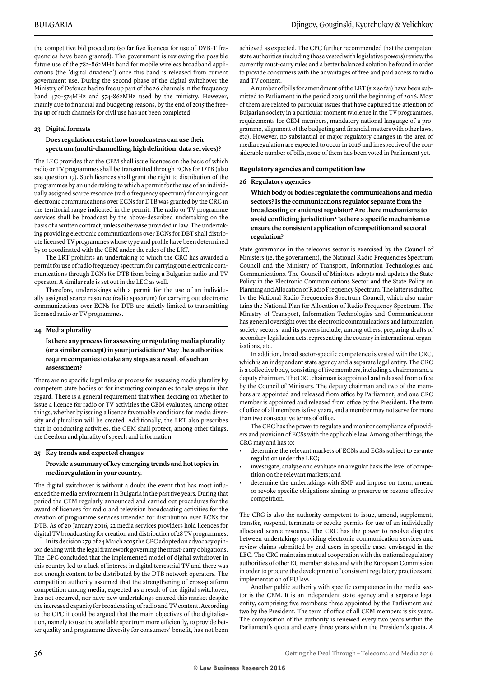the competitive bid procedure (so far five licences for use of DVB-T frequencies have been granted). The government is reviewing the possible future use of the 782–862MHz band for mobile wireless broadband applications (the 'digital dividend') once this band is released from current government use. During the second phase of the digital switchover the Ministry of Defence had to free up part of the 26 channels in the frequency band 470-574MHz and 574-862MHz used by the ministry. However, mainly due to financial and budgeting reasons, by the end of 2015 the freeing up of such channels for civil use has not been completed.

#### **23 Digital formats**

#### **Does regulation restrict how broadcasters can use their spectrum (multi-channelling, high definition, data services)?**

The LEC provides that the CEM shall issue licences on the basis of which radio or TV programmes shall be transmitted through ECNs for DTB (also see question 17). Such licences shall grant the right to distribution of the programmes by an undertaking to which a permit for the use of an individually assigned scarce resource (radio frequency spectrum) for carrying out electronic communications over ECNs for DTB was granted by the CRC in the territorial range indicated in the permit. The radio or TV programme services shall be broadcast by the above-described undertaking on the basis of a written contract, unless otherwise provided in law. The undertaking providing electronic communications over ECNs for DBT shall distribute licensed TV programmes whose type and profile have been determined by or coordinated with the CEM under the rules of the LRT.

The LRT prohibits an undertaking to which the CRC has awarded a permit for use of radio frequency spectrum for carrying out electronic communications through ECNs for DTB from being a Bulgarian radio and TV operator. A similar rule is set out in the LEC as well.

Therefore, undertakings with a permit for the use of an individually assigned scarce resource (radio spectrum) for carrying out electronic communications over ECNs for DTB are strictly limited to transmitting licensed radio or TV programmes.

#### **24 Media plurality**

#### **Is there any process for assessing or regulating media plurality (or a similar concept) in your jurisdiction? May the authorities require companies to take any steps as a result of such an assessment?**

There are no specific legal rules or process for assessing media plurality by competent state bodies or for instructing companies to take steps in that regard. There is a general requirement that when deciding on whether to issue a licence for radio or TV activities the CEM evaluates, among other things, whether by issuing a licence favourable conditions for media diversity and pluralism will be created. Additionally, the LRT also prescribes that in conducting activities, the CEM shall protect, among other things, the freedom and plurality of speech and information.

#### **25 Key trends and expected changes**

#### **Provide a summary of key emerging trends and hot topics in media regulation in your country.**

The digital switchover is without a doubt the event that has most influenced the media environment in Bulgaria in the past five years. During that period the CEM regularly announced and carried out procedures for the award of licences for radio and television broadcasting activities for the creation of programme services intended for distribution over ECNs for DTB. As of 20 January 2016, 22 media services providers hold licences for digital TV broadcasting for creation and distribution of 28 TV programmes.

In its decision 279 of 24 March 2015 the CPC adopted an advocacy opinion dealing with the legal framework governing the must-carry obligations. The CPC concluded that the implemented model of digital switchover in this country led to a lack of interest in digital terrestrial TV and there was not enough content to be distributed by the DTB network operators. The competition authority assumed that the strengthening of cross-platform competition among media, expected as a result of the digital switchover, has not occurred, nor have new undertakings entered this market despite the increased capacity for broadcasting of radio and TV content. According to the CPC it could be argued that the main objectives of the digitalisation, namely to use the available spectrum more efficiently, to provide better quality and programme diversity for consumers' benefit, has not been

achieved as expected. The CPC further recommended that the competent state authorities (including those vested with legislative powers) review the currently must-carry rules and a better balanced solution be found in order to provide consumers with the advantages of free and paid access to radio and TV content.

A number of bills for amendment of the LRT (six so far) have been submitted to Parliament in the period 2015 until the beginning of 2016. Most of them are related to particular issues that have captured the attention of Bulgarian society in a particular moment (violence in the TV programmes, requirements for CEM members, mandatory national language of a programme, alignment of the budgeting and financial matters with other laws, etc). However, no substantial or major regulatory changes in the area of media regulation are expected to occur in 2016 and irrespective of the considerable number of bills, none of them has been voted in Parliament yet.

#### **Regulatory agencies and competition law**

#### **26 Regulatory agencies**

**Which body or bodies regulate the communications and media sectors? Is the communications regulator separate from the broadcasting or antitrust regulator? Are there mechanisms to avoid conflicting jurisdiction? Is there a specific mechanism to ensure the consistent application of competition and sectoral regulation?**

State governance in the telecoms sector is exercised by the Council of Ministers (ie, the government), the National Radio Frequencies Spectrum Council and the Ministry of Transport, Information Technologies and Communications. The Council of Ministers adopts and updates the State Policy in the Electronic Communications Sector and the State Policy on Planning and Allocation of Radio Frequency Spectrum. The latter is drafted by the National Radio Frequencies Spectrum Council, which also maintains the National Plan for Allocation of Radio Frequency Spectrum. The Ministry of Transport, Information Technologies and Communications has general oversight over the electronic communications and information society sectors, and its powers include, among others, preparing drafts of secondary legislation acts, representing the country in international organisations, etc.

In addition, broad sector-specific competence is vested with the CRC, which is an independent state agency and a separate legal entity. The CRC is a collective body, consisting of five members, including a chairman and a deputy chairman. The CRC chairman is appointed and released from office by the Council of Ministers. The deputy chairman and two of the members are appointed and released from office by Parliament, and one CRC member is appointed and released from office by the President. The term of office of all members is five years, and a member may not serve for more than two consecutive terms of office.

The CRC has the power to regulate and monitor compliance of providers and provision of ECSs with the applicable law. Among other things, the CRC may and has to:

- determine the relevant markets of ECNs and ECSs subject to ex-ante regulation under the LEC;
- investigate, analyse and evaluate on a regular basis the level of competition on the relevant markets; and
- determine the undertakings with SMP and impose on them, amend or revoke specific obligations aiming to preserve or restore effective competition.

The CRC is also the authority competent to issue, amend, supplement, transfer, suspend, terminate or revoke permits for use of an individually allocated scarce resource. The CRC has the power to resolve disputes between undertakings providing electronic communication services and review claims submitted by end-users in specific cases envisaged in the LEC. The CRC maintains mutual cooperation with the national regulatory authorities of other EU member states and with the European Commission in order to procure the development of consistent regulatory practices and implementation of EU law.

Another public authority with specific competence in the media sector is the CEM. It is an independent state agency and a separate legal entity, comprising five members: three appointed by the Parliament and two by the President. The term of office of all CEM members is six years. The composition of the authority is renewed every two years within the Parliament's quota and every three years within the President's quota. A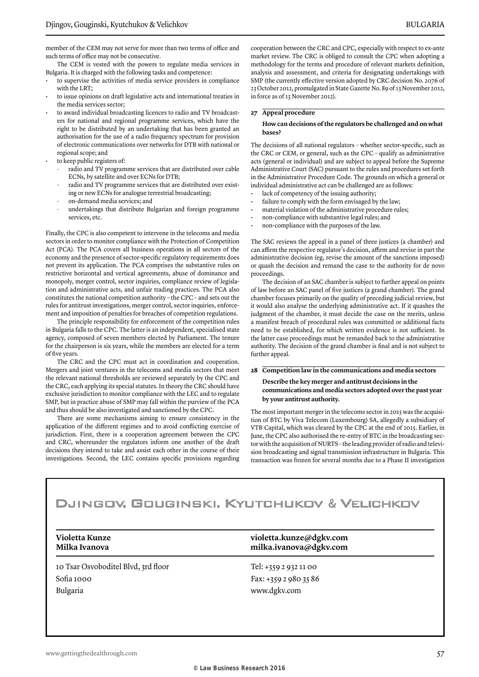member of the CEM may not serve for more than two terms of office and such terms of office may not be consecutive.

The CEM is vested with the powers to regulate media services in Bulgaria. It is charged with the following tasks and competence:

- to supervise the activities of media service providers in compliance with the LRT;
- to issue opinions on draft legislative acts and international treaties in the media services sector;
- to award individual broadcasting licences to radio and TV broadcasters for national and regional programme services, which have the right to be distributed by an undertaking that has been granted an authorisation for the use of a radio frequency spectrum for provision of electronic communications over networks for DTB with national or regional scope; and
- to keep public registers of:
	- radio and TV programme services that are distributed over cable ECNs, by satellite and over ECNs for DTB;
	- radio and TV programme services that are distributed over existing or new ECNs for analogue terrestrial broadcasting;
	- on-demand media services; and
	- undertakings that distribute Bulgarian and foreign programme services, etc.

Finally, the CPC is also competent to intervene in the telecoms and media sectors in order to monitor compliance with the Protection of Competition Act (PCA). The PCA covers all business operations in all sectors of the economy and the presence of sector-specific regulatory requirements does not prevent its application. The PCA comprises the substantive rules on restrictive horizontal and vertical agreements, abuse of dominance and monopoly, merger control, sector inquiries, compliance review of legislation and administrative acts, and unfair trading practices. The PCA also constitutes the national competition authority – the CPC – and sets out the rules for antitrust investigations, merger control, sector inquiries, enforcement and imposition of penalties for breaches of competition regulations.

The principle responsibility for enforcement of the competition rules in Bulgaria falls to the CPC. The latter is an independent, specialised state agency, composed of seven members elected by Parliament. The tenure for the chairperson is six years, while the members are elected for a term of five years.

The CRC and the CPC must act in coordination and cooperation. Mergers and joint ventures in the telecoms and media sectors that meet the relevant national thresholds are reviewed separately by the CPC and the CRC, each applying its special statutes. In theory the CRC should have exclusive jurisdiction to monitor compliance with the LEC and to regulate SMP, but in practice abuse of SMP may fall within the purview of the PCA and thus should be also investigated and sanctioned by the CPC.

There are some mechanisms aiming to ensure consistency in the application of the different regimes and to avoid conflicting exercise of jurisdiction. First, there is a cooperation agreement between the CPC and CRC, whereunder the regulators inform one another of the draft decisions they intend to take and assist each other in the course of their investigations. Second, the LEC contains specific provisions regarding cooperation between the CRC and CPC, especially with respect to ex-ante market review. The CRC is obliged to consult the CPC when adopting a methodology for the terms and procedure of relevant markets definition, analysis and assessment, and criteria for designating undertakings with SMP (the currently effective version adopted by CRC decision No. 2076 of 23 October 2012, promulgated in State Gazette No. 89 of 13 November 2012, in force as of 13 November 2012).

#### **27 Appeal procedure**

#### **How can decisions of the regulators be challenged and on what bases?**

The decisions of all national regulators – whether sector-specific, such as the CRC or CEM, or general, such as the CPC – qualify as administrative acts (general or individual) and are subject to appeal before the Supreme Administrative Court (SAC) pursuant to the rules and procedures set forth in the Administrative Procedure Code. The grounds on which a general or individual administrative act can be challenged are as follows:

- lack of competency of the issuing authority;
- failure to comply with the form envisaged by the law;
- material violation of the administrative procedure rules;
- non-compliance with substantive legal rules; and
- non-compliance with the purposes of the law.

The SAC reviews the appeal in a panel of three justices (a chamber) and can affirm the respective regulator's decision, affirm and revise in part the administrative decision (eg, revise the amount of the sanctions imposed) or quash the decision and remand the case to the authority for de novo proceedings.

The decision of an SAC chamber is subject to further appeal on points of law before an SAC panel of five justices (a grand chamber). The grand chamber focuses primarily on the quality of preceding judicial review, but it would also analyse the underlying administrative act. If it quashes the judgment of the chamber, it must decide the case on the merits, unless a manifest breach of procedural rules was committed or additional facts need to be established, for which written evidence is not sufficient. In the latter case proceedings must be remanded back to the administrative authority. The decision of the grand chamber is final and is not subject to further appeal.

#### **28 Competition law in the communications and media sectors Describe the key merger and antitrust decisions in the communications and media sectors adopted over the past year by your antitrust authority.**

The most important merger in the telecoms sector in 2015 was the acquisition of BTC by Viva Telecom (Luxembourg) SA, allegedly a subsidiary of VTB Capital, which was cleared by the CPC at the end of 2015. Earlier, in June, the CPC also authorised the re-entry of BTC in the broadcasting sector with the acquisition of NURTS – the leading provider of radio and television broadcasting and signal transmission infrastructure in Bulgaria. This transaction was frozen for several months due to a Phase II investigation

# DJINGOV, GOUGINSKI, KYUTCHUKOV & VELICHKOV

10 Tsar Osvoboditel Blvd, 3rd floor Sofia 1000 Bulgaria

#### **Violetta Kunze violetta.kunze@dgkv.com Milka Ivanova milka.ivanova@dgkv.com**

Tel: +359 2 932 11 00 Fax: +359 2 980 35 86 www.dgkv.com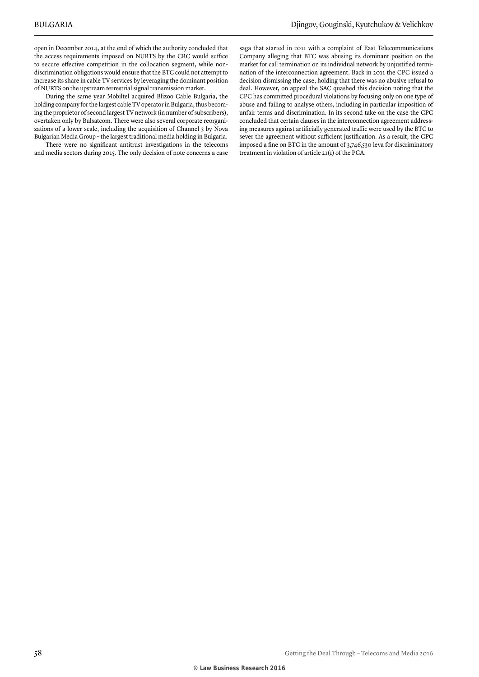open in December 2014, at the end of which the authority concluded that the access requirements imposed on NURTS by the CRC would suffice to secure effective competition in the collocation segment, while nondiscrimination obligations would ensure that the BTC could not attempt to increase its share in cable TV services by leveraging the dominant position of NURTS on the upstream terrestrial signal transmission market.

During the same year Mobiltel acquired Blizoo Cable Bulgaria, the holding company for the largest cable TV operator in Bulgaria, thus becoming the proprietor of second largest TV network (in number of subscribers), overtaken only by Bulsatcom. There were also several corporate reorganizations of a lower scale, including the acquisition of Channel 3 by Nova Bulgarian Media Group – the largest traditional media holding in Bulgaria.

There were no significant antitrust investigations in the telecoms and media sectors during 2015. The only decision of note concerns a case

saga that started in 2011 with a complaint of East Telecommunications Company alleging that BTC was abusing its dominant position on the market for call termination on its individual network by unjustified termination of the interconnection agreement. Back in 2011 the CPC issued a decision dismissing the case, holding that there was no abusive refusal to deal. However, on appeal the SAC quashed this decision noting that the CPC has committed procedural violations by focusing only on one type of abuse and failing to analyse others, including in particular imposition of unfair terms and discrimination. In its second take on the case the CPC concluded that certain clauses in the interconnection agreement addressing measures against artificially generated traffic were used by the BTC to sever the agreement without sufficient justification. As a result, the CPC imposed a fine on BTC in the amount of 3,746,530 leva for discriminatory treatment in violation of article 21(1) of the PCA.